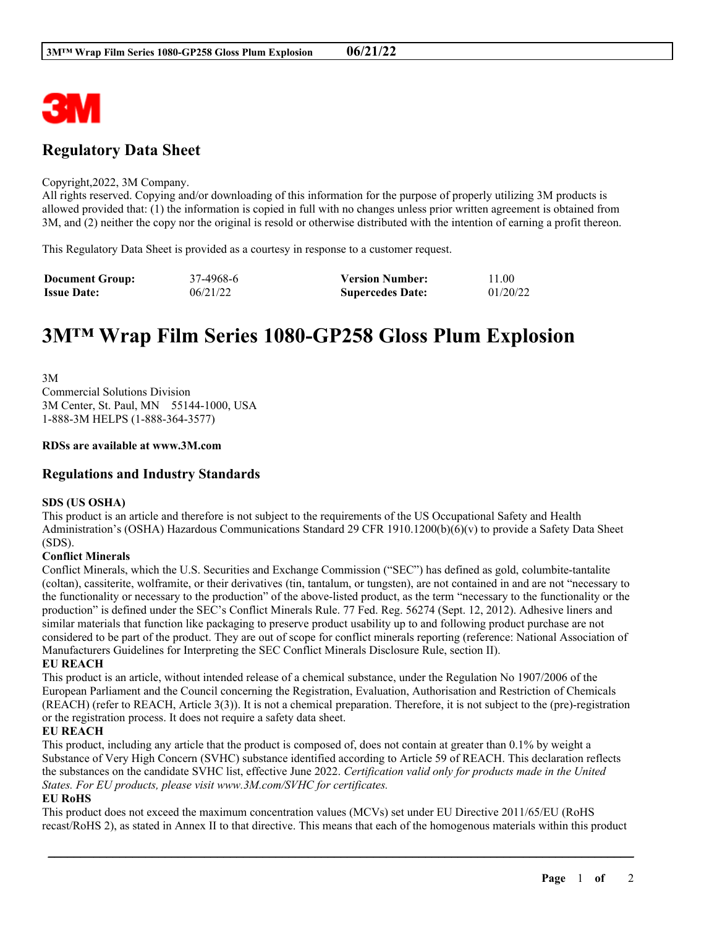

# **Regulatory Data Sheet**

#### Copyright,2022, 3M Company.

All rights reserved. Copying and/or downloading of this information for the purpose of properly utilizing 3M products is allowed provided that: (1) the information is copied in full with no changes unless prior written agreement is obtained from 3M, and (2) neither the copy nor the original is resold or otherwise distributed with the intention of earning a profit thereon.

This Regulatory Data Sheet is provided as a courtesy in response to a customer request.

| <b>Document Group:</b> | 37-4968-6 | <b>Version Number:</b>  | 11.00    |
|------------------------|-----------|-------------------------|----------|
| <b>Issue Date:</b>     | 06/21/22  | <b>Supercedes Date:</b> | 01/20/22 |

# **3M™ Wrap Film Series 1080-GP258 Gloss Plum Explosion**

3M Commercial Solutions Division 3M Center, St. Paul, MN 55144-1000, USA 1-888-3M HELPS (1-888-364-3577)

#### **RDSs are available at www.3M.com**

# **Regulations and Industry Standards**

## **SDS (US OSHA)**

This product is an article and therefore is not subject to the requirements of the US Occupational Safety and Health Administration's (OSHA) Hazardous Communications Standard 29 CFR 1910.1200(b)(6)(v) to provide a Safety Data Sheet (SDS).

## **Conflict Minerals**

Conflict Minerals, which the U.S. Securities and Exchange Commission ("SEC") has defined as gold, columbite-tantalite (coltan), cassiterite, wolframite, or their derivatives (tin, tantalum, or tungsten), are not contained in and are not "necessary to the functionality or necessary to the production" of the above-listed product, as the term "necessary to the functionality or the production" is defined under the SEC's Conflict Minerals Rule. 77 Fed. Reg. 56274 (Sept. 12, 2012). Adhesive liners and similar materials that function like packaging to preserve product usability up to and following product purchase are not considered to be part of the product. They are out of scope for conflict minerals reporting (reference: National Association of Manufacturers Guidelines for Interpreting the SEC Conflict Minerals Disclosure Rule, section II).

#### **EU REACH**

This product is an article, without intended release of a chemical substance, under the Regulation No 1907/2006 of the European Parliament and the Council concerning the Registration, Evaluation, Authorisation and Restriction of Chemicals (REACH) (refer to REACH, Article 3(3)). It is not a chemical preparation. Therefore, it is not subject to the (pre)-registration or the registration process. It does not require a safety data sheet.

## **EU REACH**

This product, including any article that the product is composed of, does not contain at greater than 0.1% by weight a Substance of Very High Concern (SVHC) substance identified according to Article 59 of REACH. This declaration reflects the substances on the candidate SVHC list, effective June 2022. *Certification valid only for products made in the United States. For EU products, please visit www.3M.com/SVHC for certificates.*

## **EU RoHS**

This product does not exceed the maximum concentration values (MCVs) set under EU Directive 2011/65/EU (RoHS recast/RoHS 2), as stated in Annex II to that directive. This means that each of the homogenous materials within this product

\_\_\_\_\_\_\_\_\_\_\_\_\_\_\_\_\_\_\_\_\_\_\_\_\_\_\_\_\_\_\_\_\_\_\_\_\_\_\_\_\_\_\_\_\_\_\_\_\_\_\_\_\_\_\_\_\_\_\_\_\_\_\_\_\_\_\_\_\_\_\_\_\_\_\_\_\_\_\_\_\_\_\_\_\_\_\_\_\_\_